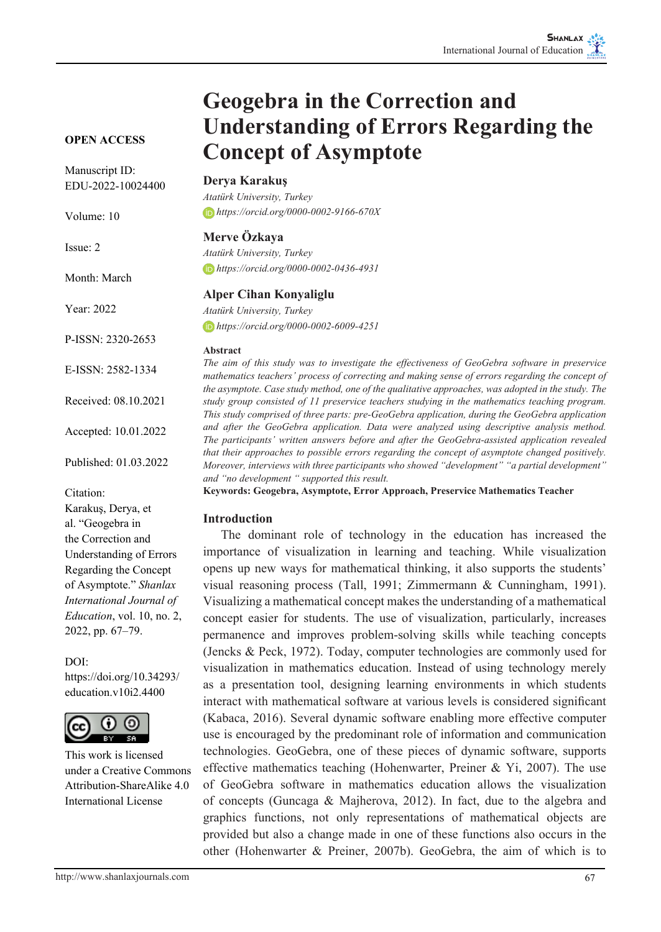#### **OPEN ACCESS**

Manuscript ID: EDU-2022-10024400

Volume: 10

Issue: 2

Month: March

Year: 2022

P-ISSN: 2320-2653

E-ISSN: 2582-1334

Received: 08.10.2021

Accepted: 10.01.2022

Published: 01.03.2022

Citation:

Karakuş, Derya, et al. "Geogebra in the Correction and Understanding of Errors Regarding the Concept of Asymptote." *Shanlax International Journal of Education*, vol. 10, no. 2, 2022, pp. 67–79.

DOI:

https://doi.org/10.34293/ education.v10i2.4400



This work is licensed under a Creative Commons Attribution-ShareAlike 4.0 International License

# **Geogebra in the Correction and Understanding of Errors Regarding the Concept of Asymptote**

#### **Derya Karakuş**

*Atatürk University, Turkey https://orcid.org/0000-0002-9166-670X*

#### **Merve Özkaya**

*Atatürk University, Turkey https://orcid.org/0000-0002-0436-4931*

#### **Alper Cihan Konyaliglu**

*Atatürk University, Turkey https://orcid.org/0000-0002-6009-4251*

#### **Abstract**

*The aim of this study was to investigate the effectiveness of GeoGebra software in preservice mathematics teachers' process of correcting and making sense of errors regarding the concept of the asymptote. Case study method, one of the qualitative approaches, was adopted in the study. The study group consisted of 11 preservice teachers studying in the mathematics teaching program. This study comprised of three parts: pre-GeoGebra application, during the GeoGebra application and after the GeoGebra application. Data were analyzed using descriptive analysis method. The participants' written answers before and after the GeoGebra-assisted application revealed that their approaches to possible errors regarding the concept of asymptote changed positively. Moreover, interviews with three participants who showed "development" "a partial development" and "no development " supported this result.*

**Keywords: Geogebra, Asymptote, Error Approach, Preservice Mathematics Teacher**

#### **Introduction**

The dominant role of technology in the education has increased the importance of visualization in learning and teaching. While visualization opens up new ways for mathematical thinking, it also supports the students' visual reasoning process (Tall, 1991; Zimmermann & Cunningham, 1991). Visualizing a mathematical concept makes the understanding of a mathematical concept easier for students. The use of visualization, particularly, increases permanence and improves problem-solving skills while teaching concepts (Jencks & Peck, 1972). Today, computer technologies are commonly used for visualization in mathematics education. Instead of using technology merely as a presentation tool, designing learning environments in which students interact with mathematical software at various levels is considered significant (Kabaca, 2016). Several dynamic software enabling more effective computer use is encouraged by the predominant role of information and communication technologies. GeoGebra, one of these pieces of dynamic software, supports effective mathematics teaching (Hohenwarter, Preiner & Yi, 2007). The use of GeoGebra software in mathematics education allows the visualization of concepts (Guncaga & Majherova, 2012). In fact, due to the algebra and graphics functions, not only representations of mathematical objects are provided but also a change made in one of these functions also occurs in the other (Hohenwarter & Preiner, 2007b). GeoGebra, the aim of which is to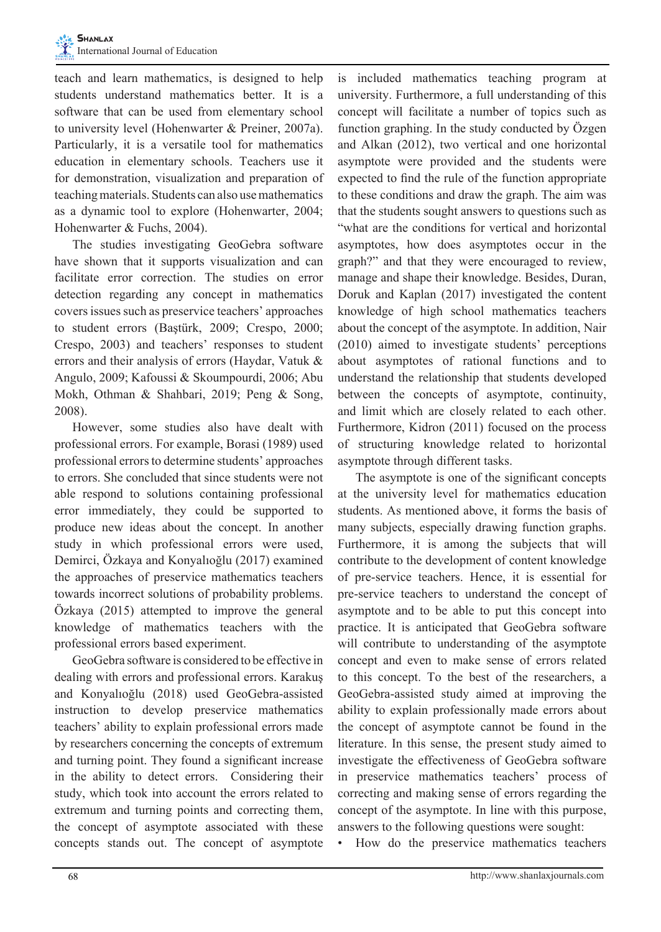teach and learn mathematics, is designed to help students understand mathematics better. It is a software that can be used from elementary school to university level (Hohenwarter & Preiner, 2007a). Particularly, it is a versatile tool for mathematics education in elementary schools. Teachers use it for demonstration, visualization and preparation of teaching materials. Students can also use mathematics as a dynamic tool to explore (Hohenwarter, 2004; Hohenwarter & Fuchs, 2004).

The studies investigating GeoGebra software have shown that it supports visualization and can facilitate error correction. The studies on error detection regarding any concept in mathematics covers issues such as preservice teachers' approaches to student errors (Baştürk, 2009; Crespo, 2000; Crespo, 2003) and teachers' responses to student errors and their analysis of errors (Haydar, Vatuk & Angulo, 2009; Kafoussi & Skoumpourdi, 2006; Abu Mokh, Othman & Shahbari, 2019; Peng & Song, 2008).

However, some studies also have dealt with professional errors. For example, Borasi (1989) used professional errors to determine students' approaches to errors. She concluded that since students were not able respond to solutions containing professional error immediately, they could be supported to produce new ideas about the concept. In another study in which professional errors were used, Demirci, Özkaya and Konyalıoğlu (2017) examined the approaches of preservice mathematics teachers towards incorrect solutions of probability problems. Özkaya (2015) attempted to improve the general knowledge of mathematics teachers with the professional errors based experiment.

GeoGebra software is considered to be effective in dealing with errors and professional errors. Karakuş and Konyalıoğlu (2018) used GeoGebra-assisted instruction to develop preservice mathematics teachers' ability to explain professional errors made by researchers concerning the concepts of extremum and turning point. They found a significant increase in the ability to detect errors. Considering their study, which took into account the errors related to extremum and turning points and correcting them, the concept of asymptote associated with these concepts stands out. The concept of asymptote

is included mathematics teaching program at university. Furthermore, a full understanding of this concept will facilitate a number of topics such as function graphing. In the study conducted by Özgen and Alkan (2012), two vertical and one horizontal asymptote were provided and the students were expected to find the rule of the function appropriate to these conditions and draw the graph. The aim was that the students sought answers to questions such as "what are the conditions for vertical and horizontal asymptotes, how does asymptotes occur in the graph?" and that they were encouraged to review, manage and shape their knowledge. Besides, Duran, Doruk and Kaplan (2017) investigated the content knowledge of high school mathematics teachers about the concept of the asymptote. In addition, Nair (2010) aimed to investigate students' perceptions about asymptotes of rational functions and to understand the relationship that students developed between the concepts of asymptote, continuity, and limit which are closely related to each other. Furthermore, Kidron (2011) focused on the process of structuring knowledge related to horizontal asymptote through different tasks.

The asymptote is one of the significant concepts at the university level for mathematics education students. As mentioned above, it forms the basis of many subjects, especially drawing function graphs. Furthermore, it is among the subjects that will contribute to the development of content knowledge of pre-service teachers. Hence, it is essential for pre-service teachers to understand the concept of asymptote and to be able to put this concept into practice. It is anticipated that GeoGebra software will contribute to understanding of the asymptote concept and even to make sense of errors related to this concept. To the best of the researchers, a GeoGebra-assisted study aimed at improving the ability to explain professionally made errors about the concept of asymptote cannot be found in the literature. In this sense, the present study aimed to investigate the effectiveness of GeoGebra software in preservice mathematics teachers' process of correcting and making sense of errors regarding the concept of the asymptote. In line with this purpose, answers to the following questions were sought:

• How do the preservice mathematics teachers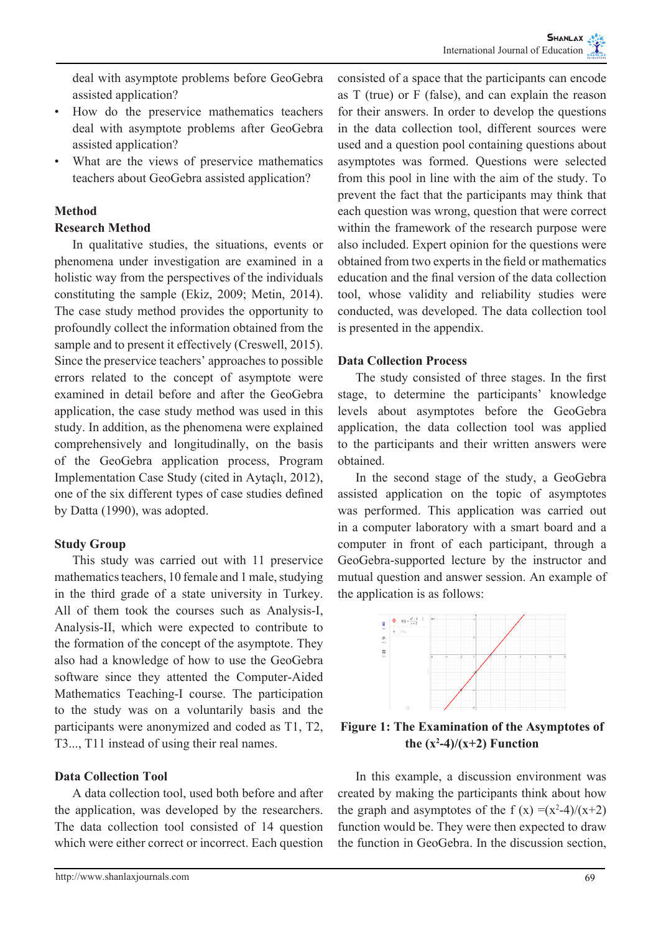deal with asymptote problems before GeoGebra assisted application?

- How do the preservice mathematics teachers deal with asymptote problems after GeoGebra assisted application?
- What are the views of preservice mathematics teachers about GeoGebra assisted application?

## **Method**

## **Research Method**

In qualitative studies, the situations, events or phenomena under investigation are examined in a holistic way from the perspectives of the individuals constituting the sample (Ekiz, 2009; Metin, 2014). The case study method provides the opportunity to profoundly collect the information obtained from the sample and to present it effectively (Creswell, 2015). Since the preservice teachers' approaches to possible errors related to the concept of asymptote were examined in detail before and after the GeoGebra application, the case study method was used in this study. In addition, as the phenomena were explained comprehensively and longitudinally, on the basis of the GeoGebra application process, Program Implementation Case Study (cited in Aytaçlı, 2012), one of the six different types of case studies defined by Datta (1990), was adopted.

## **Study Group**

This study was carried out with 11 preservice mathematics teachers, 10 female and 1 male, studying in the third grade of a state university in Turkey. All of them took the courses such as Analysis-I, Analysis-II, which were expected to contribute to the formation of the concept of the asymptote. They also had a knowledge of how to use the GeoGebra software since they attented the Computer-Aided Mathematics Teaching-I course. The participation to the study was on a voluntarily basis and the participants were anonymized and coded as T1, T2, T3..., T11 instead of using their real names.

#### **Data Collection Tool**

A data collection tool, used both before and after the application, was developed by the researchers. The data collection tool consisted of 14 question which were either correct or incorrect. Each question consisted of a space that the participants can encode as T (true) or F (false), and can explain the reason for their answers. In order to develop the questions in the data collection tool, different sources were used and a question pool containing questions about asymptotes was formed. Questions were selected from this pool in line with the aim of the study. To prevent the fact that the participants may think that each question was wrong, question that were correct within the framework of the research purpose were also included. Expert opinion for the questions were obtained from two experts in the field or mathematics education and the final version of the data collection tool, whose validity and reliability studies were conducted, was developed. The data collection tool is presented in the appendix.

## **Data Collection Process**

The study consisted of three stages. In the first stage, to determine the participants' knowledge levels about asymptotes before the GeoGebra application, the data collection tool was applied to the participants and their written answers were obtained.

In the second stage of the study, a GeoGebra assisted application on the topic of asymptotes was performed. This application was carried out in a computer laboratory with a smart board and a computer in front of each participant, through a GeoGebra-supported lecture by the instructor and mutual question and answer session. An example of the application is as follows:



**Figure 1: The Examination of the Asymptotes of**  the  $(x^2-4)/(x+2)$  Function

In this example, a discussion environment was created by making the participants think about how the graph and asymptotes of the f  $(x) = (x^2-4)/(x+2)$ function would be. They were then expected to draw the function in GeoGebra. In the discussion section,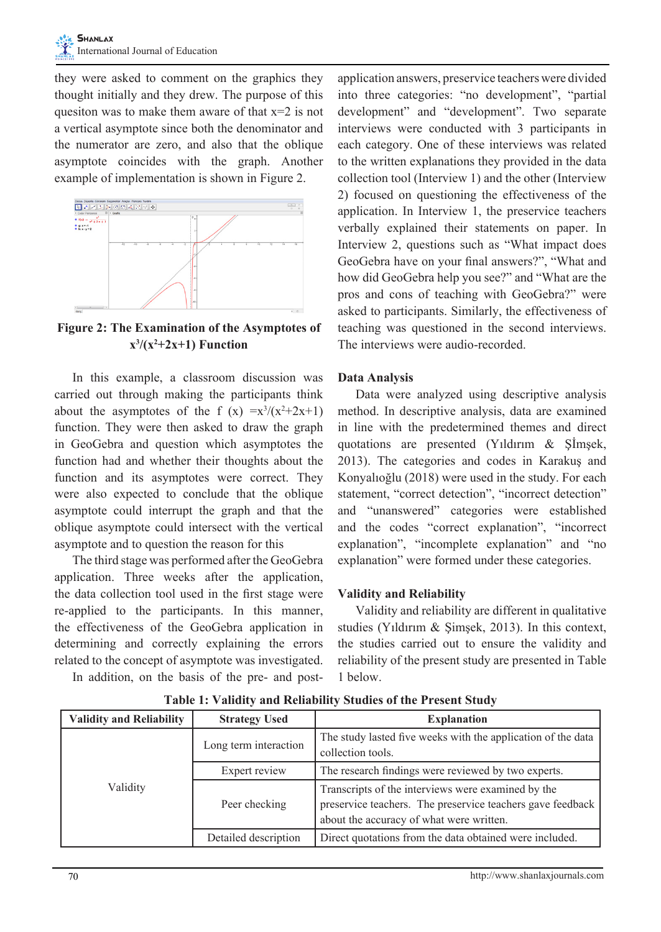they were asked to comment on the graphics they thought initially and they drew. The purpose of this quesiton was to make them aware of that  $x=2$  is not a vertical asymptote since both the denominator and the numerator are zero, and also that the oblique asymptote coincides with the graph. Another example of implementation is shown in Figure 2.



**Figure 2: The Examination of the Asymptotes of**   $x^3/(x^2+2x+1)$  Function

In this example, a classroom discussion was carried out through making the participants think about the asymptotes of the f  $(x) = x^3/(x^2+2x+1)$ function. They were then asked to draw the graph in GeoGebra and question which asymptotes the function had and whether their thoughts about the function and its asymptotes were correct. They were also expected to conclude that the oblique asymptote could interrupt the graph and that the oblique asymptote could intersect with the vertical asymptote and to question the reason for this

The third stage was performed after the GeoGebra application. Three weeks after the application, the data collection tool used in the first stage were re-applied to the participants. In this manner, the effectiveness of the GeoGebra application in determining and correctly explaining the errors related to the concept of asymptote was investigated.

In addition, on the basis of the pre- and post-

application answers, preservice teachers were divided into three categories: "no development", "partial development" and "development". Two separate interviews were conducted with 3 participants in each category. One of these interviews was related to the written explanations they provided in the data collection tool (Interview 1) and the other (Interview 2) focused on questioning the effectiveness of the application. In Interview 1, the preservice teachers verbally explained their statements on paper. In Interview 2, questions such as "What impact does GeoGebra have on your final answers?", "What and how did GeoGebra help you see?" and "What are the pros and cons of teaching with GeoGebra?" were asked to participants. Similarly, the effectiveness of teaching was questioned in the second interviews. The interviews were audio-recorded.

## **Data Analysis**

Data were analyzed using descriptive analysis method. In descriptive analysis, data are examined in line with the predetermined themes and direct quotations are presented (Yıldırım & Şİmşek, 2013). The categories and codes in Karakuş and Konyalıoğlu (2018) were used in the study. For each statement, "correct detection", "incorrect detection" and "unanswered" categories were established and the codes "correct explanation", "incorrect explanation", "incomplete explanation" and "no explanation" were formed under these categories.

## **Validity and Reliability**

Validity and reliability are different in qualitative studies (Yıldırım & Şimşek, 2013). In this context, the studies carried out to ensure the validity and reliability of the present study are presented in Table 1 below.

| <b>Validity and Reliability</b> | <b>Strategy Used</b>  | <b>Explanation</b>                                                                                                                                           |
|---------------------------------|-----------------------|--------------------------------------------------------------------------------------------------------------------------------------------------------------|
|                                 | Long term interaction | The study lasted five weeks with the application of the data<br>collection tools.                                                                            |
|                                 | Expert review         | The research findings were reviewed by two experts.                                                                                                          |
| Validity                        | Peer checking         | Transcripts of the interviews were examined by the<br>preservice teachers. The preservice teachers gave feedback<br>about the accuracy of what were written. |
|                                 | Detailed description  | Direct quotations from the data obtained were included.                                                                                                      |

**Table 1: Validity and Reliability Studies of the Present Study**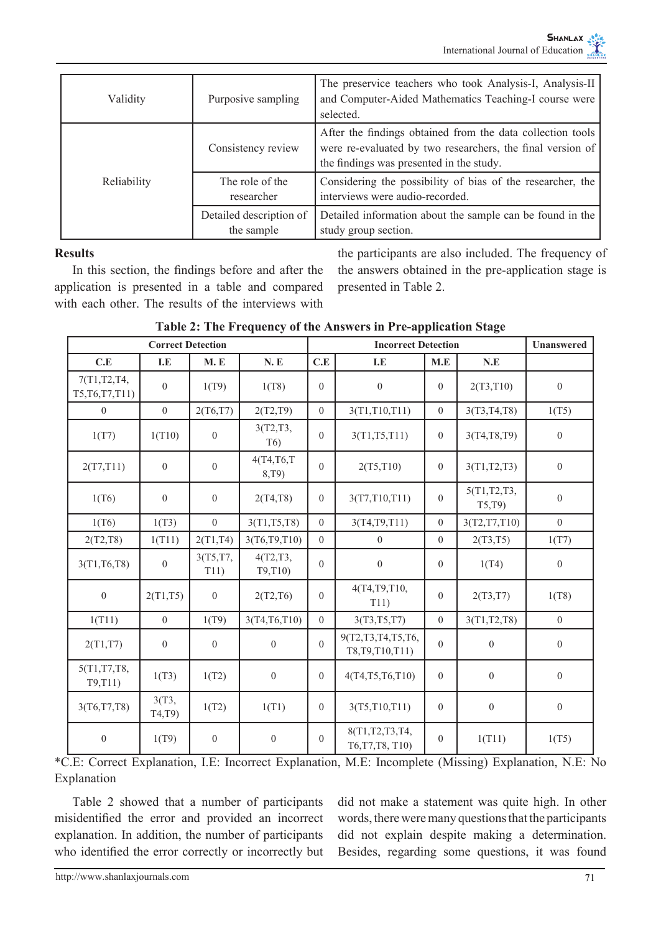| Validity    | Purposive sampling                    | The preservice teachers who took Analysis-I, Analysis-II<br>and Computer-Aided Mathematics Teaching-I course were<br>selected.                                       |
|-------------|---------------------------------------|----------------------------------------------------------------------------------------------------------------------------------------------------------------------|
|             | Consistency review                    | After the findings obtained from the data collection tools<br>were re-evaluated by two researchers, the final version of<br>the findings was presented in the study. |
| Reliability | The role of the<br>researcher         | Considering the possibility of bias of the researcher, the<br>interviews were audio-recorded.                                                                        |
|             | Detailed description of<br>the sample | Detailed information about the sample can be found in the<br>study group section.                                                                                    |

#### **Results**

In this section, the findings before and after the application is presented in a table and compared with each other. The results of the interviews with the participants are also included. The frequency of the answers obtained in the pre-application stage is presented in Table 2.

|                                 | <b>Correct Detection</b> |                  |                              | <b>Incorrect Detection</b> |                                        |                  | Unanswered             |                  |
|---------------------------------|--------------------------|------------------|------------------------------|----------------------------|----------------------------------------|------------------|------------------------|------------------|
| C.E                             | I.E                      | M.E              | N.E                          | C.E                        | I.E                                    | M.E              | N.E                    |                  |
| 7(T1,T2,T4,<br>T5, T6, T7, T11) | $\boldsymbol{0}$         | 1(T9)            | 1(T8)                        | $\overline{0}$             | $\boldsymbol{0}$                       | $\overline{0}$   | 2(T3, T10)             | $\boldsymbol{0}$ |
| $\mathbf{0}$                    | $\boldsymbol{0}$         | 2(T6,T7)         | 2(T2,T9)                     | $\overline{0}$             | 3(T1, T10, T11)                        | $\boldsymbol{0}$ | 3(T3, T4, T8)          | 1(T5)            |
| 1(T7)                           | 1(T10)                   | $\mathbf{0}$     | 3(T2,T3,<br>T <sub>6</sub> ) | $\overline{0}$             | 3(T1, T5, T11)                         | $\boldsymbol{0}$ | 3(T4,T8,T9)            | $\boldsymbol{0}$ |
| 2(T7, T11)                      | $\boldsymbol{0}$         | $\boldsymbol{0}$ | 4(T4, T6, T<br>8,T9)         | $\overline{0}$             | 2(T5, T10)                             | $\boldsymbol{0}$ | 3(T1, T2, T3)          | $\boldsymbol{0}$ |
| 1(T6)                           | $\mathbf{0}$             | $\boldsymbol{0}$ | 2(T4,T8)                     | $\boldsymbol{0}$           | 3(T7,T10,T11)                          | $\overline{0}$   | 5(T1, T2, T3,<br>T5,T9 | $\boldsymbol{0}$ |
| 1(T6)                           | 1(T3)                    | $\overline{0}$   | 3(T1, T5, T8)                | $\overline{0}$             | 3(T4, T9, T11)                         | $\overline{0}$   | 3(T2,T7,T10)           | $\mathbf{0}$     |
| 2(T2,T8)                        | 1(T11)                   | 2(T1,T4)         | 3(T6,T9,T10)                 | $\mathbf{0}$               | $\mathbf{0}$                           | $\overline{0}$   | 2(T3,T5)               | 1(T7)            |
| 3(T1, T6, T8)                   | $\overline{0}$           | 3(T5,T7,<br>T11) | 4(T2,T3,<br>T9,T10)          | $\overline{0}$             | $\boldsymbol{0}$                       | $\mathbf{0}$     | 1(T4)                  | $\boldsymbol{0}$ |
| $\theta$                        | 2(T1,T5)                 | $\mathbf{0}$     | 2(T2, T6)                    | 0                          | 4(T4,T9,T10,<br>T11)                   | $\mathbf{0}$     | 2(T3, T7)              | 1(T8)            |
| 1(T11)                          | $\overline{0}$           | 1(T9)            | 3(T4,T6,T10)                 | $\overline{0}$             | 3(T3, T5, T7)                          | $\overline{0}$   | 3(T1, T2, T8)          | $\mathbf{0}$     |
| 2(T1,T7)                        | $\boldsymbol{0}$         | $\boldsymbol{0}$ | $\mathbf{0}$                 | $\mathbf{0}$               | 9(T2,T3,T4,T5,T6,<br>T8, T9, T10, T11) | $\boldsymbol{0}$ | $\boldsymbol{0}$       | $\boldsymbol{0}$ |
| 5(T1,T7,T8,<br>T9,T11)          | 1(T3)                    | 1(T2)            | $\boldsymbol{0}$             | $\mathbf{0}$               | 4(T4,T5,T6,T10)                        | $\overline{0}$   | $\boldsymbol{0}$       | $\boldsymbol{0}$ |
| 3(T6, T7, T8)                   | 3(T3,<br>T4,T9           | 1(T2)            | 1(T1)                        | $\overline{0}$             | 3(T5,T10,T11)                          | $\overline{0}$   | $\boldsymbol{0}$       | $\boldsymbol{0}$ |
| $\theta$                        | 1(T9)                    | $\mathbf{0}$     | $\mathbf{0}$                 | $\mathbf{0}$               | 8(T1,T2,T3,T4,<br>T6, T7, T8, T10)     | $\overline{0}$   | 1(T11)                 | 1(T5)            |

**Table 2: The Frequency of the Answers in Pre-application Stage**

\*C.E: Correct Explanation, I.E: Incorrect Explanation, M.E: Incomplete (Missing) Explanation, N.E: No Explanation

Table 2 showed that a number of participants misidentified the error and provided an incorrect explanation. In addition, the number of participants who identified the error correctly or incorrectly but did not make a statement was quite high. In other words, there were many questions that the participants did not explain despite making a determination. Besides, regarding some questions, it was found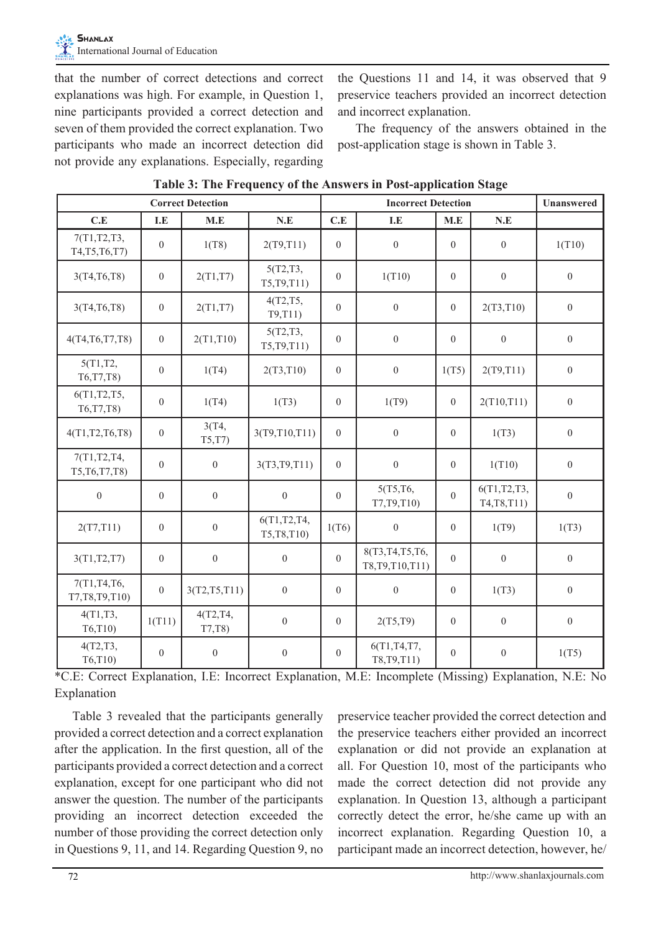that the number of correct detections and correct explanations was high. For example, in Question 1, nine participants provided a correct detection and seven of them provided the correct explanation. Two participants who made an incorrect detection did not provide any explanations. Especially, regarding the Questions 11 and 14, it was observed that 9 preservice teachers provided an incorrect detection and incorrect explanation.

The frequency of the answers obtained in the post-application stage is shown in Table 3.

|                                   |                         | <b>Correct Detection</b> | $\overline{\phantom{a}}$    | ᇰ<br><b>Incorrect Detection</b> |                                        |                |                               | <b>Unanswered</b> |
|-----------------------------------|-------------------------|--------------------------|-----------------------------|---------------------------------|----------------------------------------|----------------|-------------------------------|-------------------|
| C.E                               | $\mathbf{I}.\mathbf{E}$ | M.E                      | $\mathbf{N}.\mathbf{E}$     | C.E                             | I.E                                    | M.E            | N.E                           |                   |
| 7(T1, T2, T3,<br>T4, T5, T6, T7)  | $\overline{0}$          | 1(T8)                    | 2(T9, T11)                  | $\mathbf{0}$                    | $\mathbf{0}$                           | $\overline{0}$ | $\boldsymbol{0}$              | 1(T10)            |
| 3(T4, T6, T8)                     | $\boldsymbol{0}$        | 2(T1,T7)                 | 5(T2,T3,<br>T5, T9, T11)    | $\overline{0}$                  | 1(T10)                                 | $\overline{0}$ | $\overline{0}$                | $\mathbf{0}$      |
| 3(T4, T6, T8)                     | $\boldsymbol{0}$        | 2(T1,T7)                 | 4(T2, T5,<br>T9,T11)        | $\mathbf{0}$                    | $\boldsymbol{0}$                       | $\overline{0}$ | 2(T3, T10)                    | $\boldsymbol{0}$  |
| 4(T4, T6, T7, T8)                 | $\overline{0}$          | 2(T1, T10)               | 5(T2,T3,<br>T5, T9, T11)    | $\overline{0}$                  | $\overline{0}$                         | $\overline{0}$ | $\overline{0}$                | $\mathbf{0}$      |
| 5(T1,T2,<br>T6, T7, T8)           | $\boldsymbol{0}$        | 1(T4)                    | 2(T3, T10)                  | $\mathbf{0}$                    | $\boldsymbol{0}$                       | 1(T5)          | 2(T9, T11)                    | $\boldsymbol{0}$  |
| 6(T1, T2, T5,<br>T6, T7, T8)      | $\overline{0}$          | 1(T4)                    | 1(T3)                       | $\mathbf{0}$                    | 1(T9)                                  | $\overline{0}$ | 2(T10, T11)                   | $\boldsymbol{0}$  |
| 4(T1, T2, T6, T8)                 | $\boldsymbol{0}$        | 3(T4,<br>T5,T7           | 3(T9,T10,T11)               | $\mathbf{0}$                    | $\mathbf{0}$                           | $\overline{0}$ | 1(T3)                         | $\boldsymbol{0}$  |
| 7(T1,T2,T4,<br>T5, T6, T7, T8)    | $\overline{0}$          | $\overline{0}$           | 3(T3, T9, T11)              | $\overline{0}$                  | $\theta$                               | $\overline{0}$ | 1(T10)                        | $\overline{0}$    |
| $\overline{0}$                    | $\overline{0}$          | $\overline{0}$           | $\mathbf{0}$                | $\overline{0}$                  | 5(T5, T6,<br>T7, T9, T10)              | $\overline{0}$ | 6(T1, T2, T3,<br>T4, T8, T11) | $\boldsymbol{0}$  |
| 2(T7, T11)                        | $\overline{0}$          | $\overline{0}$           | 6(T1,T2,T4,<br>T5, T8, T10) | 1(T6)                           | $\mathbf{0}$                           | $\overline{0}$ | 1(T9)                         | 1(T3)             |
| 3(T1, T2, T7)                     | $\boldsymbol{0}$        | $\boldsymbol{0}$         | $\boldsymbol{0}$            | $\theta$                        | 8(T3, T4, T5, T6,<br>T8, T9, T10, T11) | $\overline{0}$ | $\overline{0}$                | $\boldsymbol{0}$  |
| 7(T1, T4, T6,<br>T7, T8, T9, T10) | $\overline{0}$          | 3(T2, T5, T11)           | $\overline{0}$              | $\overline{0}$                  | $\mathbf{0}$                           | $\overline{0}$ | 1(T3)                         | $\boldsymbol{0}$  |
| 4(T1,T3,<br>T6, T10               | 1(T11)                  | 4(T2, T4, T4)<br>T7,T8   | $\boldsymbol{0}$            | $\overline{0}$                  | 2(T5,T9)                               | $\overline{0}$ | $\boldsymbol{0}$              | $\boldsymbol{0}$  |
| 4(T2,T3,<br>T6, T10               | $\overline{0}$          | $\overline{0}$           | $\overline{0}$              | $\overline{0}$                  | 6(T1, T4, T7,<br>T8, T9, T11)          | $\overline{0}$ | $\mathbf{0}$                  | 1(T5)             |

**Table 3: The Frequency of the Answers in Post-application Stage**

\*C.E: Correct Explanation, I.E: Incorrect Explanation, M.E: Incomplete (Missing) Explanation, N.E: No Explanation

Table 3 revealed that the participants generally provided a correct detection and a correct explanation after the application. In the first question, all of the participants provided a correct detection and a correct explanation, except for one participant who did not answer the question. The number of the participants providing an incorrect detection exceeded the number of those providing the correct detection only in Questions 9, 11, and 14. Regarding Question 9, no

preservice teacher provided the correct detection and the preservice teachers either provided an incorrect explanation or did not provide an explanation at all. For Question 10, most of the participants who made the correct detection did not provide any explanation. In Question 13, although a participant correctly detect the error, he/she came up with an incorrect explanation. Regarding Question 10, a participant made an incorrect detection, however, he/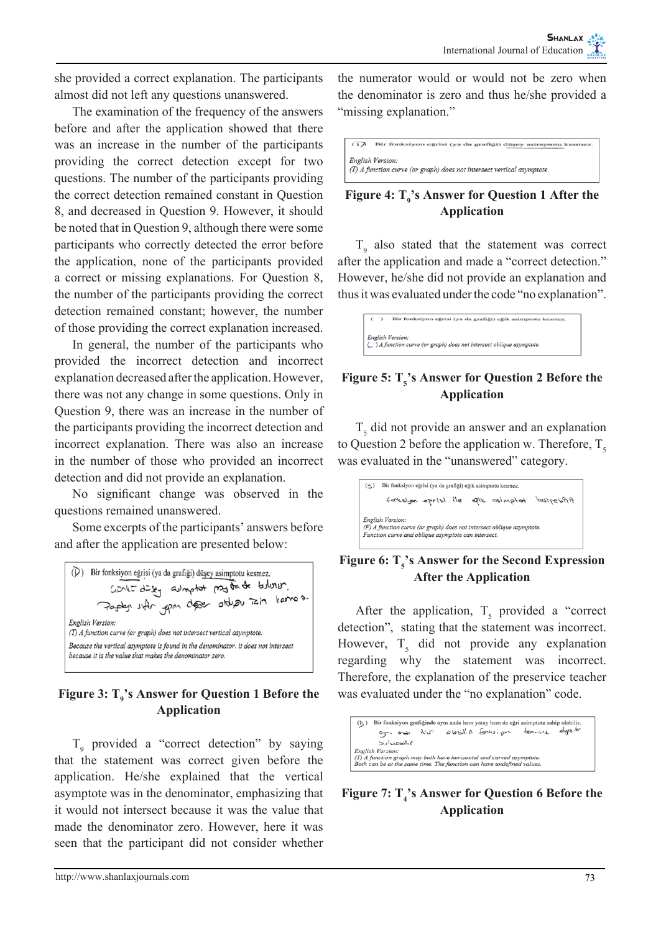she provided a correct explanation. The participants almost did not left any questions unanswered.

The examination of the frequency of the answers before and after the application showed that there was an increase in the number of the participants providing the correct detection except for two questions. The number of the participants providing the correct detection remained constant in Question 8, and decreased in Question 9. However, it should be noted that in Question 9, although there were some participants who correctly detected the error before the application, none of the participants provided a correct or missing explanations. For Question 8, the number of the participants providing the correct detection remained constant; however, the number of those providing the correct explanation increased.

In general, the number of the participants who provided the incorrect detection and incorrect explanation decreased after the application. However, there was not any change in some questions. Only in Question 9, there was an increase in the number of the participants providing the incorrect detection and incorrect explanation. There was also an increase in the number of those who provided an incorrect detection and did not provide an explanation.

No significant change was observed in the questions remained unanswered.

Some excerpts of the participants' answers before and after the application are presented below:



## Figure 3: T<sub>9</sub>'s Answer for Question 1 Before the **Application**

 $T_9$  provided a "correct detection" by saying that the statement was correct given before the application. He/she explained that the vertical asymptote was in the denominator, emphasizing that it would not intersect because it was the value that made the denominator zero. However, here it was seen that the participant did not consider whether

the numerator would or would not be zero when the denominator is zero and thus he/she provided a "missing explanation."

| $\sqrt{12}$ | Bir fonksiyon eğrisi (ya da grafiği) düşey asimptotu kesmez.                               |
|-------------|--------------------------------------------------------------------------------------------|
|             | English Version:<br>(T) A function curve (or graph) does not intersect vertical asymptote. |
|             |                                                                                            |

# Figure 4:  $T_{9}$ 's Answer for Question 1 After the **Application**

 $T<sub>9</sub>$  also stated that the statement was correct after the application and made a "correct detection." However, he/she did not provide an explanation and thus it was evaluated under the code "no explanation".

| c | Bir fonksiyon eğrisi (ya da grafiği) eğik asimptotu kesmez.           |
|---|-----------------------------------------------------------------------|
|   |                                                                       |
|   | English Version:                                                      |
|   | (w) A function curve (or graph) does not intersect oblique asymptote. |

# **Figure 5:** T<sub>5</sub>'s Answer for Question 2 Before the **Application**

 $T<sub>5</sub>$  did not provide an answer and an explanation to Question 2 before the application w. Therefore,  $T<sub>5</sub>$ was evaluated in the "unanswered" category.

|                  | fankslyon eprisi ile epik asimptat | filfdgstred                                                                                                                  |
|------------------|------------------------------------|------------------------------------------------------------------------------------------------------------------------------|
|                  |                                    |                                                                                                                              |
|                  |                                    |                                                                                                                              |
|                  |                                    |                                                                                                                              |
| English Version: |                                    | (F) A function curve (or graph) does not intersect oblique asymptote.<br>Function curve and oblique asymptote can intersect. |

## Figure 6:  $T_s$ 's Answer for the Second Expression **After the Application**

After the application,  $T_5$  provided a "correct" detection", stating that the statement was incorrect. However,  $T<sub>5</sub>$  did not provide any explanation regarding why the statement was incorrect. Therefore, the explanation of the preservice teacher was evaluated under the "no explanation" code.

| (1) |                  |  | Bir fonksiyon grafiğinde aynı anda hem yatay hem de eğri asimptota sahip olabilir.                                                           |  |
|-----|------------------|--|----------------------------------------------------------------------------------------------------------------------------------------------|--|
|     |                  |  | an and Nus! abbilist forhologin tonnoise defects                                                                                             |  |
|     | ٢، ١: طصدا د دا  |  |                                                                                                                                              |  |
|     | English Version: |  | (T) A function graph may both have horizontal and curved asymptote.<br>Both can be at the same time. The function can have undefined values. |  |

Figure 7:  $T_4$ 's Answer for Question 6 Before the **Application**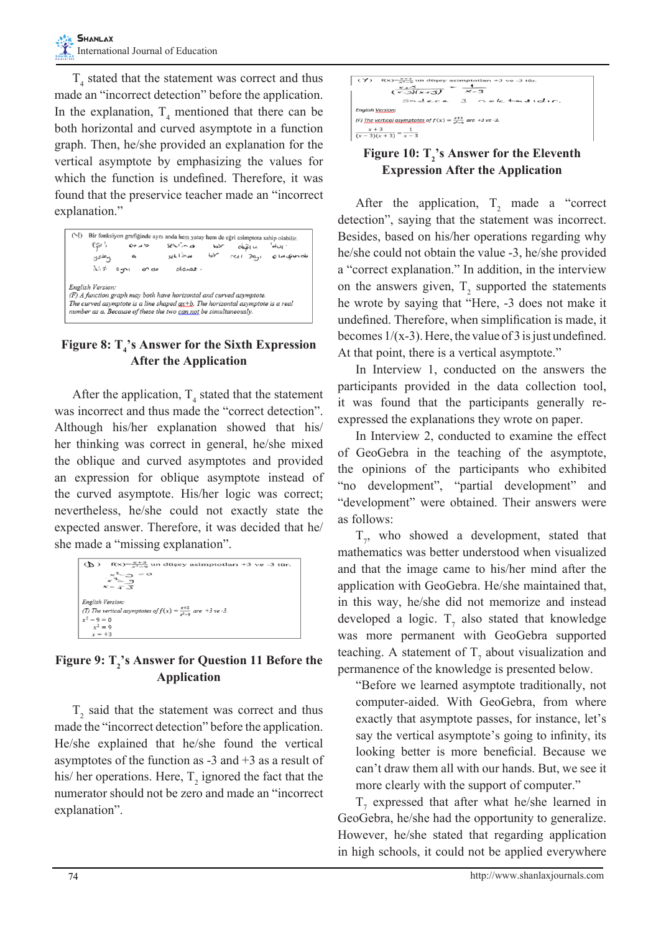$T<sub>4</sub>$  stated that the statement was correct and thus made an "incorrect detection" before the application. In the explanation,  $T_4$  mentioned that there can be both horizontal and curved asymptote in a function graph. Then, he/she provided an explanation for the vertical asymptote by emphasizing the values for which the function is undefined. Therefore, it was found that the preservice teacher made an "incorrect explanation."

| $(\lceil \cdot \rceil)$<br>50'<br>yoton                                                                                                               | $0+15$<br>▵  | Bir fonksiyon grafiğinde aynı anda hem yatay hem de eğri asimptota sahip olabilir.<br>$sech$ , and<br>sellina | $\mathbf{b}$<br>br | $\frac{1}{2}$<br>$rel$ $Da_{11}$ | പ്പ -<br>o la grun de |
|-------------------------------------------------------------------------------------------------------------------------------------------------------|--------------|---------------------------------------------------------------------------------------------------------------|--------------------|----------------------------------|-----------------------|
| 心ホ                                                                                                                                                    | on de<br>0y1 | $ol$ anet.                                                                                                    |                    |                                  |                       |
| English Version:<br>(F) A function graph may both have horizontal and curved asymptote.                                                               |              |                                                                                                               |                    |                                  |                       |
| The curved asymptote is a line shaped $ax+b$ . The horizontal asymptote is a real<br>number as a. Because of these the two can not be simultaneously. |              |                                                                                                               |                    |                                  |                       |

## Figure 8:  $T_4$ 's Answer for the Sixth Expression **After the Application**

After the application,  $T_4$  stated that the statement was incorrect and thus made the "correct detection". Although his/her explanation showed that his/ her thinking was correct in general, he/she mixed the oblique and curved asymptotes and provided an expression for oblique asymptote instead of the curved asymptote. His/her logic was correct; nevertheless, he/she could not exactly state the expected answer. Therefore, it was decided that he/ she made a "missing explanation".

| $f(x) = \frac{x+3}{x^2-9}$ un düşey asimptotları +3 ve -3 tür.<br>$\langle P \rangle$ |
|---------------------------------------------------------------------------------------|
| $\times^2$ -3<br>$= 0$<br>$x^2 = 9$                                                   |
| $X = -7.3$                                                                            |
| English Version:                                                                      |
| (T) The vertical asymptotes of $f(x) = \frac{x+3}{x^2-2}$ are +3 ve -3.               |
| $x^2 - 9 = 0$                                                                         |
| $r^2 = 9$<br>$x = +3$                                                                 |

# Figure 9: T<sub>2</sub>'s Answer for Question 11 Before the **Application**

 $T<sub>2</sub>$  said that the statement was correct and thus made the "incorrect detection" before the application. He/she explained that he/she found the vertical asymptotes of the function as  $-3$  and  $+3$  as a result of his/ her operations. Here,  $T_2$  ignored the fact that the numerator should not be zero and made an "incorrect explanation".



# Figure 10:  $T_2$ 's Answer for the Eleventh **Expression After the Application**

After the application,  $T_2$  made a "correct" detection", saying that the statement was incorrect. Besides, based on his/her operations regarding why he/she could not obtain the value -3, he/she provided a "correct explanation." In addition, in the interview on the answers given,  $T_2$  supported the statements he wrote by saying that "Here, -3 does not make it undefined. Therefore, when simplification is made, it becomes  $1/(x-3)$ . Here, the value of 3 is just undefined. At that point, there is a vertical asymptote."

In Interview 1, conducted on the answers the participants provided in the data collection tool, it was found that the participants generally reexpressed the explanations they wrote on paper.

In Interview 2, conducted to examine the effect of GeoGebra in the teaching of the asymptote, the opinions of the participants who exhibited "no development", "partial development" and "development" were obtained. Their answers were as follows:

 $T_{7}$ , who showed a development, stated that mathematics was better understood when visualized and that the image came to his/her mind after the application with GeoGebra. He/she maintained that, in this way, he/she did not memorize and instead developed a logic.  $T_7$  also stated that knowledge was more permanent with GeoGebra supported teaching. A statement of  $T_7$  about visualization and permanence of the knowledge is presented below.

"Before we learned asymptote traditionally, not computer-aided. With GeoGebra, from where exactly that asymptote passes, for instance, let's say the vertical asymptote's going to infinity, its looking better is more beneficial. Because we can't draw them all with our hands. But, we see it more clearly with the support of computer."

 $T_7$  expressed that after what he/she learned in GeoGebra, he/she had the opportunity to generalize. However, he/she stated that regarding application in high schools, it could not be applied everywhere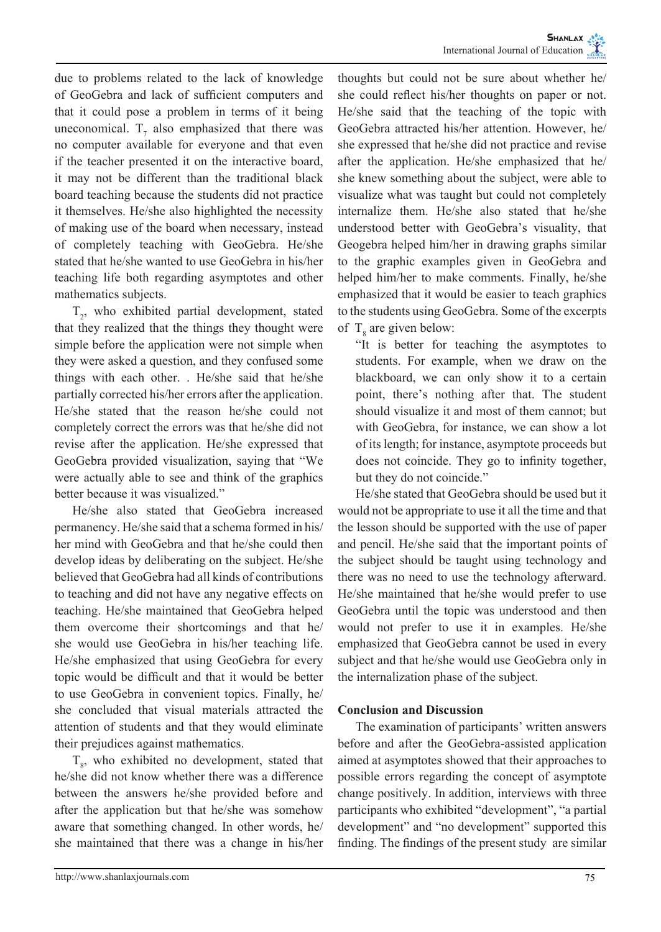due to problems related to the lack of knowledge of GeoGebra and lack of sufficient computers and that it could pose a problem in terms of it being uneconomical.  $T_7$  also emphasized that there was no computer available for everyone and that even if the teacher presented it on the interactive board, it may not be different than the traditional black board teaching because the students did not practice it themselves. He/she also highlighted the necessity of making use of the board when necessary, instead of completely teaching with GeoGebra. He/she stated that he/she wanted to use GeoGebra in his/her teaching life both regarding asymptotes and other mathematics subjects.

 $T<sub>2</sub>$ , who exhibited partial development, stated that they realized that the things they thought were simple before the application were not simple when they were asked a question, and they confused some things with each other. . He/she said that he/she partially corrected his/her errors after the application. He/she stated that the reason he/she could not completely correct the errors was that he/she did not revise after the application. He/she expressed that GeoGebra provided visualization, saying that "We were actually able to see and think of the graphics better because it was visualized."

He/she also stated that GeoGebra increased permanency. He/she said that a schema formed in his/ her mind with GeoGebra and that he/she could then develop ideas by deliberating on the subject. He/she believed that GeoGebra had all kinds of contributions to teaching and did not have any negative effects on teaching. He/she maintained that GeoGebra helped them overcome their shortcomings and that he/ she would use GeoGebra in his/her teaching life. He/she emphasized that using GeoGebra for every topic would be difficult and that it would be better to use GeoGebra in convenient topics. Finally, he/ she concluded that visual materials attracted the attention of students and that they would eliminate their prejudices against mathematics.

 $T_{\rm g}$ , who exhibited no development, stated that he/she did not know whether there was a difference between the answers he/she provided before and after the application but that he/she was somehow aware that something changed. In other words, he/ she maintained that there was a change in his/her

thoughts but could not be sure about whether he/ she could reflect his/her thoughts on paper or not. He/she said that the teaching of the topic with GeoGebra attracted his/her attention. However, he/ she expressed that he/she did not practice and revise after the application. He/she emphasized that he/ she knew something about the subject, were able to visualize what was taught but could not completely internalize them. He/she also stated that he/she understood better with GeoGebra's visuality, that Geogebra helped him/her in drawing graphs similar to the graphic examples given in GeoGebra and helped him/her to make comments. Finally, he/she emphasized that it would be easier to teach graphics to the students using GeoGebra. Some of the excerpts of  $T_8$  are given below:

"It is better for teaching the asymptotes to students. For example, when we draw on the blackboard, we can only show it to a certain point, there's nothing after that. The student should visualize it and most of them cannot; but with GeoGebra, for instance, we can show a lot of its length; for instance, asymptote proceeds but does not coincide. They go to infinity together, but they do not coincide."

He/she stated that GeoGebra should be used but it would not be appropriate to use it all the time and that the lesson should be supported with the use of paper and pencil. He/she said that the important points of the subject should be taught using technology and there was no need to use the technology afterward. He/she maintained that he/she would prefer to use GeoGebra until the topic was understood and then would not prefer to use it in examples. He/she emphasized that GeoGebra cannot be used in every subject and that he/she would use GeoGebra only in the internalization phase of the subject.

# **Conclusion and Discussion**

The examination of participants' written answers before and after the GeoGebra-assisted application aimed at asymptotes showed that their approaches to possible errors regarding the concept of asymptote change positively. In addition, interviews with three participants who exhibited "development", "a partial development" and "no development" supported this finding. The findings of the present study are similar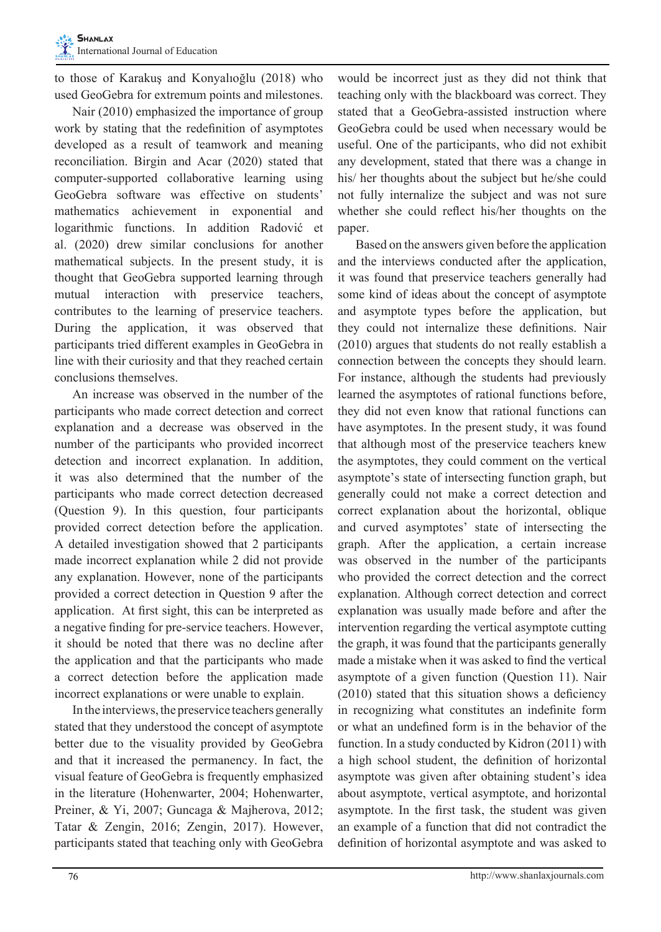to those of Karakuş and Konyalıoğlu (2018) who used GeoGebra for extremum points and milestones.

Nair (2010) emphasized the importance of group work by stating that the redefinition of asymptotes developed as a result of teamwork and meaning reconciliation. Birgin and Acar (2020) stated that computer-supported collaborative learning using GeoGebra software was effective on students' mathematics achievement in exponential and logarithmic functions. In addition Radović et al. (2020) drew similar conclusions for another mathematical subjects. In the present study, it is thought that GeoGebra supported learning through mutual interaction with preservice teachers, contributes to the learning of preservice teachers. During the application, it was observed that participants tried different examples in GeoGebra in line with their curiosity and that they reached certain conclusions themselves.

An increase was observed in the number of the participants who made correct detection and correct explanation and a decrease was observed in the number of the participants who provided incorrect detection and incorrect explanation. In addition, it was also determined that the number of the participants who made correct detection decreased (Question 9). In this question, four participants provided correct detection before the application. A detailed investigation showed that 2 participants made incorrect explanation while 2 did not provide any explanation. However, none of the participants provided a correct detection in Question 9 after the application. At first sight, this can be interpreted as a negative finding for pre-service teachers. However, it should be noted that there was no decline after the application and that the participants who made a correct detection before the application made incorrect explanations or were unable to explain.

In the interviews, the preservice teachers generally stated that they understood the concept of asymptote better due to the visuality provided by GeoGebra and that it increased the permanency. In fact, the visual feature of GeoGebra is frequently emphasized in the literature (Hohenwarter, 2004; Hohenwarter, Preiner, & Yi, 2007; Guncaga & Majherova, 2012; Tatar & Zengin, 2016; Zengin, 2017). However, participants stated that teaching only with GeoGebra

would be incorrect just as they did not think that teaching only with the blackboard was correct. They stated that a GeoGebra-assisted instruction where GeoGebra could be used when necessary would be useful. One of the participants, who did not exhibit any development, stated that there was a change in his/ her thoughts about the subject but he/she could not fully internalize the subject and was not sure whether she could reflect his/her thoughts on the paper.

Based on the answers given before the application and the interviews conducted after the application, it was found that preservice teachers generally had some kind of ideas about the concept of asymptote and asymptote types before the application, but they could not internalize these definitions. Nair (2010) argues that students do not really establish a connection between the concepts they should learn. For instance, although the students had previously learned the asymptotes of rational functions before, they did not even know that rational functions can have asymptotes. In the present study, it was found that although most of the preservice teachers knew the asymptotes, they could comment on the vertical asymptote's state of intersecting function graph, but generally could not make a correct detection and correct explanation about the horizontal, oblique and curved asymptotes' state of intersecting the graph. After the application, a certain increase was observed in the number of the participants who provided the correct detection and the correct explanation. Although correct detection and correct explanation was usually made before and after the intervention regarding the vertical asymptote cutting the graph, it was found that the participants generally made a mistake when it was asked to find the vertical asymptote of a given function (Question 11). Nair (2010) stated that this situation shows a deficiency in recognizing what constitutes an indefinite form or what an undefined form is in the behavior of the function. In a study conducted by Kidron (2011) with a high school student, the definition of horizontal asymptote was given after obtaining student's idea about asymptote, vertical asymptote, and horizontal asymptote. In the first task, the student was given an example of a function that did not contradict the definition of horizontal asymptote and was asked to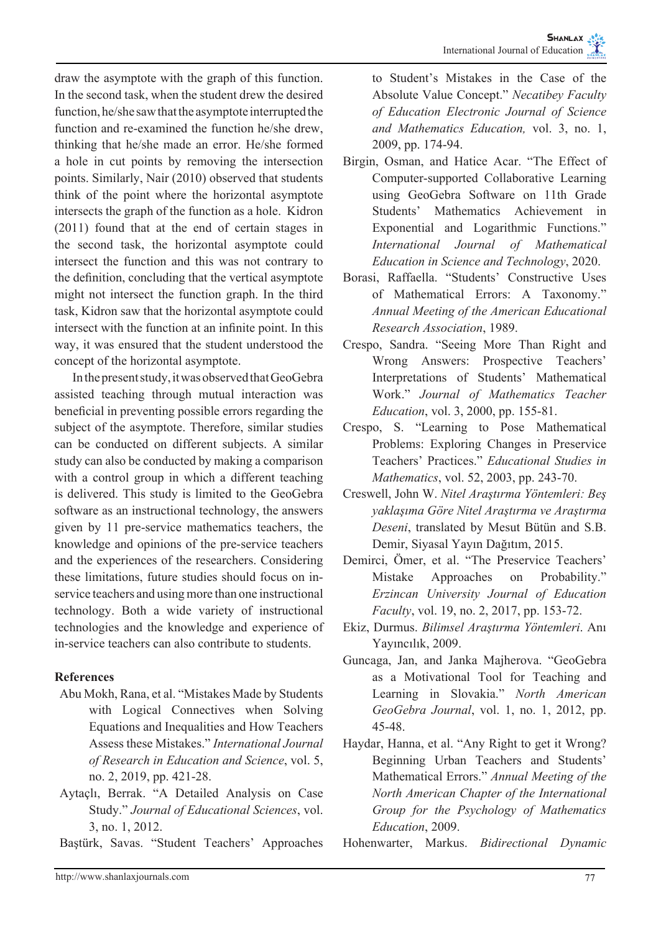draw the asymptote with the graph of this function. In the second task, when the student drew the desired function, he/she saw that the asymptote interrupted the function and re-examined the function he/she drew, thinking that he/she made an error. He/she formed a hole in cut points by removing the intersection points. Similarly, Nair (2010) observed that students think of the point where the horizontal asymptote intersects the graph of the function as a hole. Kidron (2011) found that at the end of certain stages in the second task, the horizontal asymptote could intersect the function and this was not contrary to the definition, concluding that the vertical asymptote might not intersect the function graph. In the third task, Kidron saw that the horizontal asymptote could intersect with the function at an infinite point. In this way, it was ensured that the student understood the concept of the horizontal asymptote.

In the present study, it was observed that GeoGebra assisted teaching through mutual interaction was beneficial in preventing possible errors regarding the subject of the asymptote. Therefore, similar studies can be conducted on different subjects. A similar study can also be conducted by making a comparison with a control group in which a different teaching is delivered. This study is limited to the GeoGebra software as an instructional technology, the answers given by 11 pre-service mathematics teachers, the knowledge and opinions of the pre-service teachers and the experiences of the researchers. Considering these limitations, future studies should focus on inservice teachers and using more than one instructional technology. Both a wide variety of instructional technologies and the knowledge and experience of in-service teachers can also contribute to students.

# **References**

- Abu Mokh, Rana, et al. "Mistakes Made by Students with Logical Connectives when Solving Equations and Inequalities and How Teachers Assess these Mistakes." *International Journal of Research in Education and Science*, vol. 5, no. 2, 2019, pp. 421-28.
- Aytaçlı, Berrak. "A Detailed Analysis on Case Study." *Journal of Educational Sciences*, vol. 3, no. 1, 2012.
- Baştürk, Savas. "Student Teachers' Approaches

to Student's Mistakes in the Case of the Absolute Value Concept." *Necatibey Faculty of Education Electronic Journal of Science and Mathematics Education,* vol. 3, no. 1, 2009, pp. 174-94.

- Birgin, Osman, and Hatice Acar. "The Effect of Computer-supported Collaborative Learning using GeoGebra Software on 11th Grade Students' Mathematics Achievement in Exponential and Logarithmic Functions." *International Journal of Mathematical Education in Science and Technology*, 2020.
- Borasi, Raffaella. "Students' Constructive Uses of Mathematical Errors: A Taxonomy." *Annual Meeting of the American Educational Research Association*, 1989.
- Crespo, Sandra. "Seeing More Than Right and Wrong Answers: Prospective Teachers' Interpretations of Students' Mathematical Work." *Journal of Mathematics Teacher Education*, vol. 3, 2000, pp. 155-81.
- Crespo, S. "Learning to Pose Mathematical Problems: Exploring Changes in Preservice Teachers' Practices." *Educational Studies in Mathematics*, vol. 52, 2003, pp. 243-70.
- Creswell, John W. *Nitel Araştırma Yöntemleri: Beş yaklaşıma Göre Nitel Araştırma ve Araştırma Deseni*, translated by Mesut Bütün and S.B. Demir, Siyasal Yayın Dağıtım, 2015.
- Demirci, Ömer, et al. "The Preservice Teachers' Mistake Approaches on Probability." *Erzincan University Journal of Education Faculty*, vol. 19, no. 2, 2017, pp. 153-72.
- Ekiz, Durmus. *Bilimsel Araştırma Yöntemleri*. Anı Yayıncılık, 2009.
- Guncaga, Jan, and Janka Majherova. "GeoGebra as a Motivational Tool for Teaching and Learning in Slovakia." *North American GeoGebra Journal*, vol. 1, no. 1, 2012, pp. 45-48.
- Haydar, Hanna, et al. "Any Right to get it Wrong? Beginning Urban Teachers and Students' Mathematical Errors." *Annual Meeting of the North American Chapter of the International Group for the Psychology of Mathematics Education*, 2009.
- Hohenwarter, Markus. *Bidirectional Dynamic*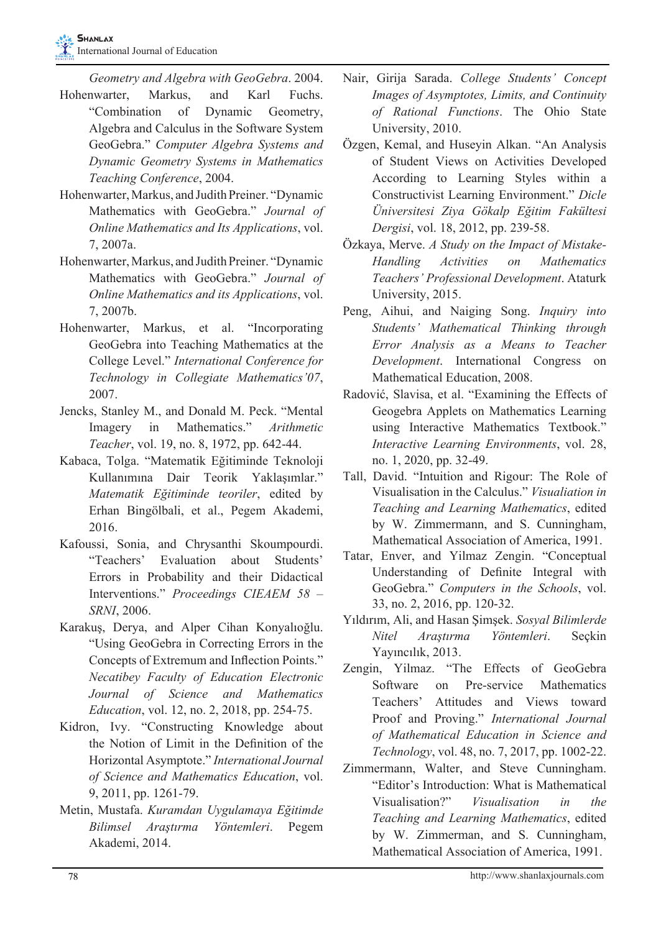*Geometry and Algebra with GeoGebra*. 2004.

- Hohenwarter, Markus, and Karl Fuchs. "Combination of Dynamic Geometry, Algebra and Calculus in the Software System GeoGebra." *Computer Algebra Systems and Dynamic Geometry Systems in Mathematics Teaching Conference*, 2004.
- Hohenwarter, Markus, and Judith Preiner. "Dynamic Mathematics with GeoGebra." *Journal of Online Mathematics and Its Applications*, vol. 7, 2007a.
- Hohenwarter, Markus, and Judith Preiner. "Dynamic Mathematics with GeoGebra." *Journal of Online Mathematics and its Applications*, vol. 7, 2007b.
- Hohenwarter, Markus, et al. "Incorporating GeoGebra into Teaching Mathematics at the College Level." *International Conference for Technology in Collegiate Mathematics'07*, 2007.
- Jencks, Stanley M., and Donald M. Peck. "Mental Imagery in Mathematics." *Arithmetic Teacher*, vol. 19, no. 8, 1972, pp. 642-44.
- Kabaca, Tolga. "Matematik Eğitiminde Teknoloji Kullanımına Dair Teorik Yaklaşımlar." *Matematik Eğitiminde teoriler*, edited by Erhan Bingölbali, et al., Pegem Akademi, 2016.
- Kafoussi, Sonia, and Chrysanthi Skoumpourdi. "Teachers' Evaluation about Students' Errors in Probability and their Didactical Interventions." *Proceedings CIEAEM 58 – SRNI*, 2006.
- Karakuş, Derya, and Alper Cihan Konyalıoğlu. "Using GeoGebra in Correcting Errors in the Concepts of Extremum and Inflection Points." *Necatibey Faculty of Education Electronic Journal of Science and Mathematics Education*, vol. 12, no. 2, 2018, pp. 254-75.
- Kidron, Ivy. "Constructing Knowledge about the Notion of Limit in the Definition of the Horizontal Asymptote." *International Journal of Science and Mathematics Education*, vol. 9, 2011, pp. 1261-79.
- Metin, Mustafa. *Kuramdan Uygulamaya Eğitimde Bilimsel Araştırma Yöntemleri*. Pegem Akademi, 2014.
- Nair, Girija Sarada. *College Students' Concept Images of Asymptotes, Limits, and Continuity of Rational Functions*. The Ohio State University, 2010.
- Özgen, Kemal, and Huseyin Alkan. "An Analysis of Student Views on Activities Developed According to Learning Styles within a Constructivist Learning Environment." *Dicle Üniversitesi Ziya Gökalp Eğitim Fakültesi Dergisi*, vol. 18, 2012, pp. 239-58.
- Özkaya, Merve. *A Study on the Impact of Mistake-Handling Activities on Mathematics Teachers' Professional Development*. Ataturk University, 2015.
- Peng, Aihui, and Naiging Song. *Inquiry into Students' Mathematical Thinking through Error Analysis as a Means to Teacher Development*. International Congress on Mathematical Education, 2008.
- Radović, Slavisa, et al. "Examining the Effects of Geogebra Applets on Mathematics Learning using Interactive Mathematics Textbook." *Interactive Learning Environments*, vol. 28, no. 1, 2020, pp. 32-49.
- Tall, David. "Intuition and Rigour: The Role of Visualisation in the Calculus." *Visualiation in Teaching and Learning Mathematics*, edited by W. Zimmermann, and S. Cunningham, Mathematical Association of America, 1991.
- Tatar, Enver, and Yilmaz Zengin. "Conceptual Understanding of Definite Integral with GeoGebra." *Computers in the Schools*, vol. 33, no. 2, 2016, pp. 120-32.
- Yıldırım, Ali, and Hasan Şimşek. *Sosyal Bilimlerde Nitel Araştırma Yöntemleri*. Seçkin Yayıncılık, 2013.
- Zengin, Yilmaz. "The Effects of GeoGebra Software on Pre-service Mathematics Teachers' Attitudes and Views toward Proof and Proving." *International Journal of Mathematical Education in Science and Technology*, vol. 48, no. 7, 2017, pp. 1002-22.
- Zimmermann, Walter, and Steve Cunningham. "Editor's Introduction: What is Mathematical Visualisation?" *Visualisation in the Teaching and Learning Mathematics*, edited by W. Zimmerman, and S. Cunningham, Mathematical Association of America, 1991.